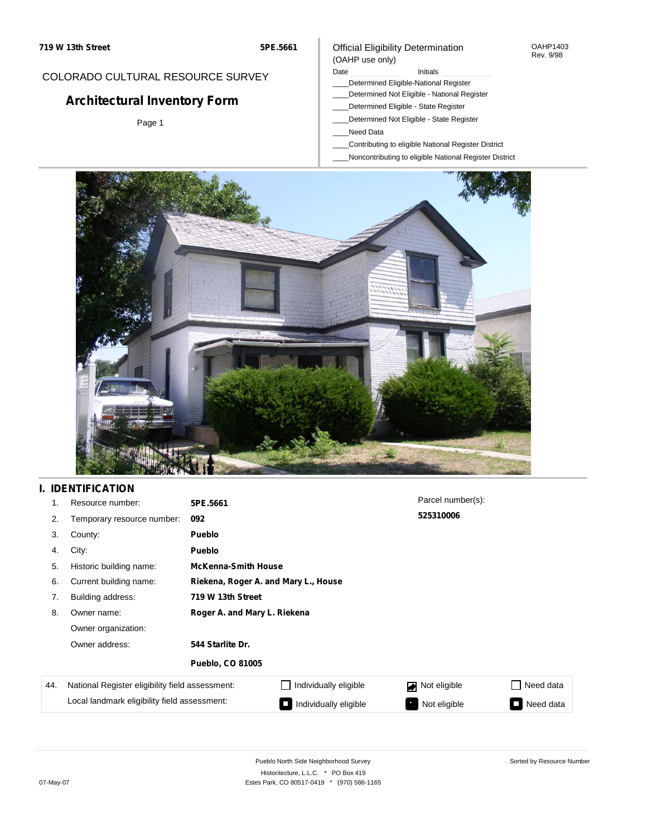#### OAHP1403 Rev. 9/98

### COLORADO CULTURAL RESOURCE SURVEY

# **Architectural Inventory Form**

Page 1

#### (OAHP use only) Date **Initials** Initials

\_\_\_\_Determined Eligible-National Register

Official Eligibility Determination

- \_\_\_\_Determined Not Eligible National Register
- \_\_\_\_Determined Eligible State Register
- \_\_\_\_Determined Not Eligible State Register
- \_\_\_\_Need Data
- \_\_\_\_Contributing to eligible National Register District
- \_\_\_\_Noncontributing to eligible National Register District



### **I. IDENTIFICATION**

| 1.  | Resource number:                                | 5PE.5661                             |                            | Parcel number(s):              |                     |  |  |  |
|-----|-------------------------------------------------|--------------------------------------|----------------------------|--------------------------------|---------------------|--|--|--|
| 2.  | Temporary resource number:                      | 092                                  |                            | 525310006                      |                     |  |  |  |
| 3.  | County:                                         | <b>Pueblo</b>                        |                            |                                |                     |  |  |  |
| 4.  | City:                                           | <b>Pueblo</b>                        |                            |                                |                     |  |  |  |
| 5.  | Historic building name:                         |                                      | <b>McKenna-Smith House</b> |                                |                     |  |  |  |
| 6.  | Current building name:                          | Riekena, Roger A. and Mary L., House |                            |                                |                     |  |  |  |
| 7.  | Building address:                               | 719 W 13th Street                    |                            |                                |                     |  |  |  |
| 8.  | Owner name:                                     | Roger A. and Mary L. Riekena         |                            |                                |                     |  |  |  |
|     | Owner organization:                             |                                      |                            |                                |                     |  |  |  |
|     | Owner address:                                  | 544 Starlite Dr.                     |                            |                                |                     |  |  |  |
|     |                                                 | <b>Pueblo, CO 81005</b>              |                            |                                |                     |  |  |  |
| 44. | National Register eligibility field assessment: |                                      | Individually eligible      | Not eligible<br>$\blacksquare$ | Need data           |  |  |  |
|     | Local landmark eligibility field assessment:    |                                      | Individually eligible      | Not eligible<br>$\bullet$      | Need data<br>$\sim$ |  |  |  |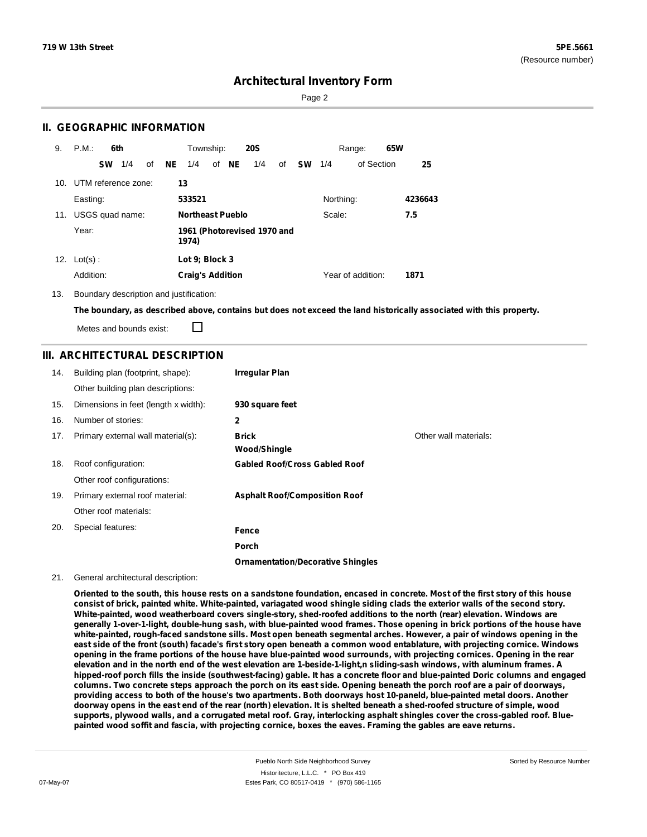Page 2

### **II. GEOGRAPHIC INFORMATION**

| 9.  | P.M.                    |           | 6th             |    |    | Township:               |       | <b>20S</b>                  |    |           |           | Range:            | 65W |         |
|-----|-------------------------|-----------|-----------------|----|----|-------------------------|-------|-----------------------------|----|-----------|-----------|-------------------|-----|---------|
|     |                         | <b>SW</b> | 1/4             | of | NE | 1/4                     | of NE | 1/4                         | οf | <b>SW</b> | 1/4       | of Section        |     | 25      |
|     | 10. UTM reference zone: |           |                 |    | 13 |                         |       |                             |    |           |           |                   |     |         |
|     | Easting:                |           |                 |    |    | 533521                  |       |                             |    |           | Northing: |                   |     | 4236643 |
| 11. |                         |           | USGS quad name: |    |    | <b>Northeast Pueblo</b> |       |                             |    |           | Scale:    |                   |     | 7.5     |
|     | Year:                   |           |                 |    |    | 1974)                   |       | 1961 (Photorevised 1970 and |    |           |           |                   |     |         |
| 12. | $Lot(s)$ :              |           |                 |    |    | Lot 9; Block 3          |       |                             |    |           |           |                   |     |         |
|     | Addition:               |           |                 |    |    | <b>Craig's Addition</b> |       |                             |    |           |           | Year of addition: |     | 1871    |

13. Boundary description and justification:

The boundary, as described above, contains but does not exceed the land historically associated with this property.

П Metes and bounds exist:

#### **III. ARCHITECTURAL DESCRIPTION**

| 14. | Building plan (footprint, shape):    | Irregular Plan                           |                       |
|-----|--------------------------------------|------------------------------------------|-----------------------|
|     | Other building plan descriptions:    |                                          |                       |
| 15. | Dimensions in feet (length x width): | 930 square feet                          |                       |
| 16. | Number of stories:                   | $\mathbf{2}$                             |                       |
| 17. | Primary external wall material(s):   | <b>Brick</b><br><b>Wood/Shingle</b>      | Other wall materials: |
| 18. | Roof configuration:                  | <b>Gabled Roof/Cross Gabled Roof</b>     |                       |
|     | Other roof configurations:           |                                          |                       |
| 19. | Primary external roof material:      | <b>Asphalt Roof/Composition Roof</b>     |                       |
|     | Other roof materials:                |                                          |                       |
| 20. | Special features:                    | Fence                                    |                       |
|     |                                      | Porch                                    |                       |
|     |                                      | <b>Ornamentation/Decorative Shingles</b> |                       |

#### 21. General architectural description:

Oriented to the south, this house rests on a sandstone foundation, encased in concrete. Most of the first story of this house consist of brick, painted white. White-painted, variagated wood shingle siding clads the exterior walls of the second story. **White-painted, wood weatherboard covers single-story, shed-roofed additions to the north (rear) elevation. Windows are** generally 1-over-1-light, double-hung sash, with blue-painted wood frames. Those opening in brick portions of the house have white-painted, rough-faced sandstone sills. Most open beneath segmental arches. However, a pair of windows opening in the east side of the front (south) facade's first story open beneath a common wood entablature, with projecting cornice. Windows opening in the frame portions of the house have blue-painted wood surrounds, with projecting cornices. Opening in the rear elevation and in the north end of the west elevation are 1-beside-1-light,n sliding-sash windows, with aluminum frames. A hipped-roof porch fills the inside (southwest-facing) gable. It has a concrete floor and blue-painted Doric columns and engaged columns. Two concrete steps approach the porch on its east side. Opening beneath the porch roof are a pair of doorways, providing access to both of the house's two apartments. Both doorways host 10-paneld, blue-painted metal doors. Another doorway opens in the east end of the rear (north) elevation. It is shelted beneath a shed-roofed structure of simple, wood supports, plywood walls, and a corrugated metal roof. Gray, interlocking asphalt shingles cover the cross-gabled roof. Bluepainted wood soffit and fascia, with projecting cornice, boxes the eaves. Framing the gables are eave returns.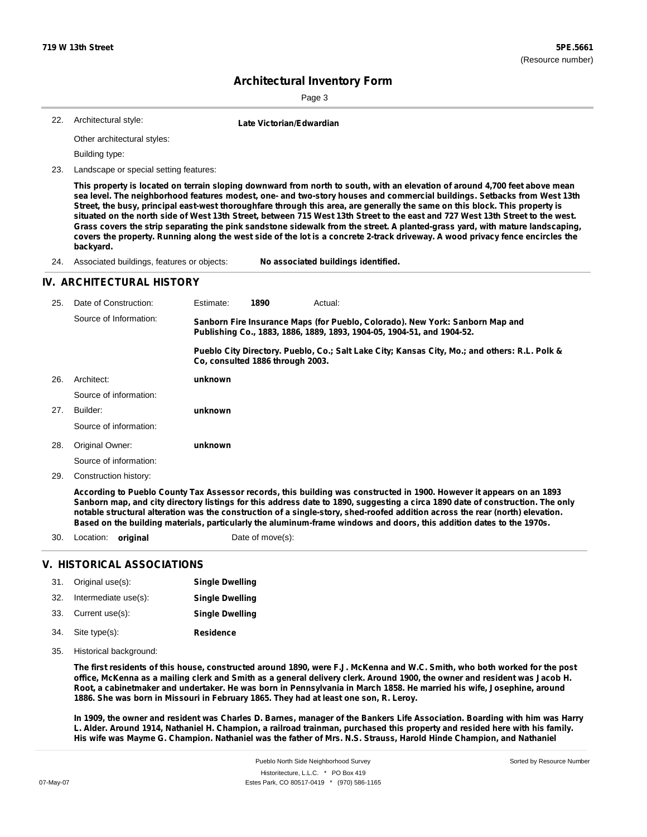Page 3

| 22. Architectural style: | Late Victorian/Edwardian |
|--------------------------|--------------------------|
|                          |                          |

Other architectural styles:

Building type:

23. Landscape or special setting features:

This property is located on terrain sloping downward from north to south, with an elevation of around 4,700 feet above mean sea level. The neighborhood features modest, one- and two-story houses and commercial buildings. Setbacks from West 13th Street, the busy, principal east-west thoroughfare through this area, are generally the same on this block. This property is situated on the north side of West 13th Street, between 715 West 13th Street to the east and 727 West 13th Street to the west. Grass covers the strip separating the pink sandstone sidewalk from the street. A planted-grass yard, with mature landscaping, covers the property. Running along the west side of the lot is a concrete 2-track driveway. A wood privacy fence encircles the **backyard.**

24. Associated buildings, features or objects: **No associated buildings identified.**

#### **IV. ARCHITECTURAL HISTORY**

| 25. | Date of Construction:  | Estimate:                                                                                                                                               | 1890 | Actual:                                                                                       |  |  |
|-----|------------------------|---------------------------------------------------------------------------------------------------------------------------------------------------------|------|-----------------------------------------------------------------------------------------------|--|--|
|     | Source of Information: | Sanborn Fire Insurance Maps (for Pueblo, Colorado). New York: Sanborn Map and<br>Publishing Co., 1883, 1886, 1889, 1893, 1904-05, 1904-51, and 1904-52. |      |                                                                                               |  |  |
|     |                        | Co. consulted 1886 through 2003.                                                                                                                        |      | Pueblo City Directory. Pueblo, Co.; Salt Lake City; Kansas City, Mo.; and others: R.L. Polk & |  |  |
| 26. | Architect:             | unknown                                                                                                                                                 |      |                                                                                               |  |  |
|     | Source of information: |                                                                                                                                                         |      |                                                                                               |  |  |
| 27. | Builder:               | unknown                                                                                                                                                 |      |                                                                                               |  |  |
|     | Source of information: |                                                                                                                                                         |      |                                                                                               |  |  |
| 28. | Original Owner:        | unknown                                                                                                                                                 |      |                                                                                               |  |  |
|     | Source of information: |                                                                                                                                                         |      |                                                                                               |  |  |
| 29. | Construction history:  |                                                                                                                                                         |      |                                                                                               |  |  |
|     |                        |                                                                                                                                                         |      |                                                                                               |  |  |

According to Pueblo County Tax Assessor records, this building was constructed in 1900. However it appears on an 1893 Sanborn map, and city directory listings for this address date to 1890, suggesting a circa 1890 date of construction. The only notable structural alteration was the construction of a single-story, shed-roofed addition across the rear (north) elevation. Based on the building materials, particularly the aluminum-frame windows and doors, this addition dates to the 1970s.

30. Location: **original** Date of move(s):

### **V. HISTORICAL ASSOCIATIONS**

| 31. | Original use(s):     | <b>Single Dwelling</b> |
|-----|----------------------|------------------------|
| 32. | Intermediate use(s): | <b>Single Dwelling</b> |
|     | 33. Current use(s):  | <b>Single Dwelling</b> |
| 34. | Site type(s):        | <b>Residence</b>       |

35. Historical background:

The first residents of this house, constructed around 1890, were F.J. McKenna and W.C. Smith, who both worked for the post office, McKenna as a mailing clerk and Smith as a general delivery clerk. Around 1900, the owner and resident was Jacob H. Root, a cabinetmaker and undertaker. He was born in Pennsylvania in March 1858. He married his wife, Josephine, around **1886. She was born in Missouri in February 1865. They had at least one son, R. Leroy.**

In 1909, the owner and resident was Charles D. Barnes, manager of the Bankers Life Association. Boarding with him was Harry L. Alder. Around 1914, Nathaniel H. Champion, a railroad trainman, purchased this property and resided here with his family. His wife was Mayme G. Champion. Nathaniel was the father of Mrs. N.S. Strauss, Harold Hinde Champion, and Nathaniel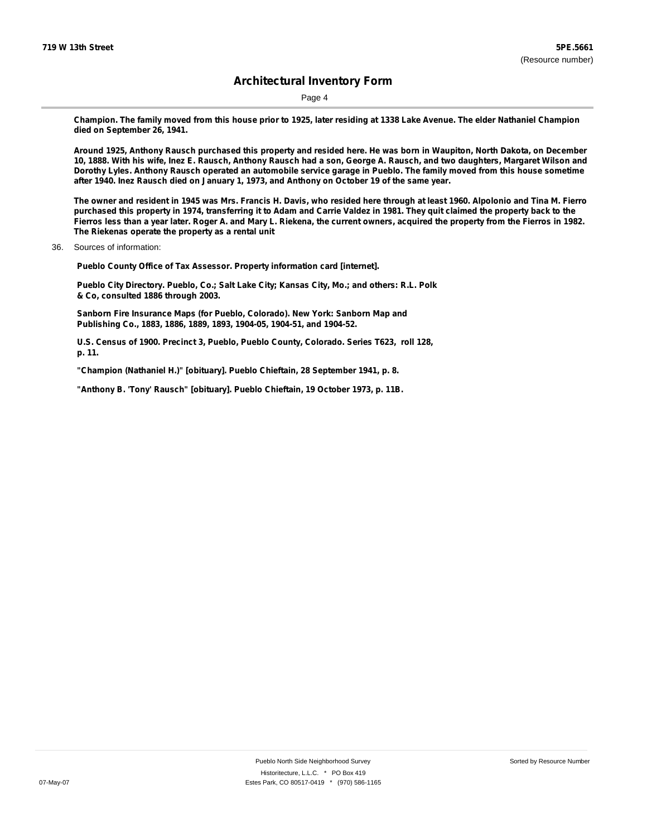Page 4

Champion. The family moved from this house prior to 1925, later residing at 1338 Lake Avenue. The elder Nathaniel Champion **died on September 26, 1941.**

Around 1925, Anthony Rausch purchased this property and resided here. He was born in Waupiton, North Dakota, on December 10, 1888. With his wife, Inez E. Rausch, Anthony Rausch had a son, George A. Rausch, and two daughters, Margaret Wilson and Dorothy Lyles. Anthony Rausch operated an automobile service garage in Pueblo. The family moved from this house sometime **after 1940. Inez Rausch died on January 1, 1973, and Anthony on October 19 of the same year.**

The owner and resident in 1945 was Mrs. Francis H. Davis, who resided here through at least 1960. Alpolonio and Tina M. Fierro purchased this property in 1974, transferring it to Adam and Carrie Valdez in 1981. They quit claimed the property back to the Fierros less than a year later. Roger A. and Mary L. Riekena, the current owners, acquired the property from the Fierros in 1982. **The Riekenas operate the property as a rental unit**

36. Sources of information:

**Pueblo County Office of Tax Assessor. Property information card [internet].**

**Pueblo City Directory. Pueblo, Co.; Salt Lake City; Kansas City, Mo.; and others: R.L. Polk & Co, consulted 1886 through 2003.**

**Sanborn Fire Insurance Maps (for Pueblo, Colorado). New York: Sanborn Map and Publishing Co., 1883, 1886, 1889, 1893, 1904-05, 1904-51, and 1904-52.**

**U.S. Census of 1900. Precinct 3, Pueblo, Pueblo County, Colorado. Series T623, roll 128, p. 11.**

**"Champion (Nathaniel H.)" [obituary]. Pueblo Chieftain, 28 September 1941, p. 8.**

**"Anthony B. 'Tony' Rausch" [obituary]. Pueblo Chieftain, 19 October 1973, p. 11B.**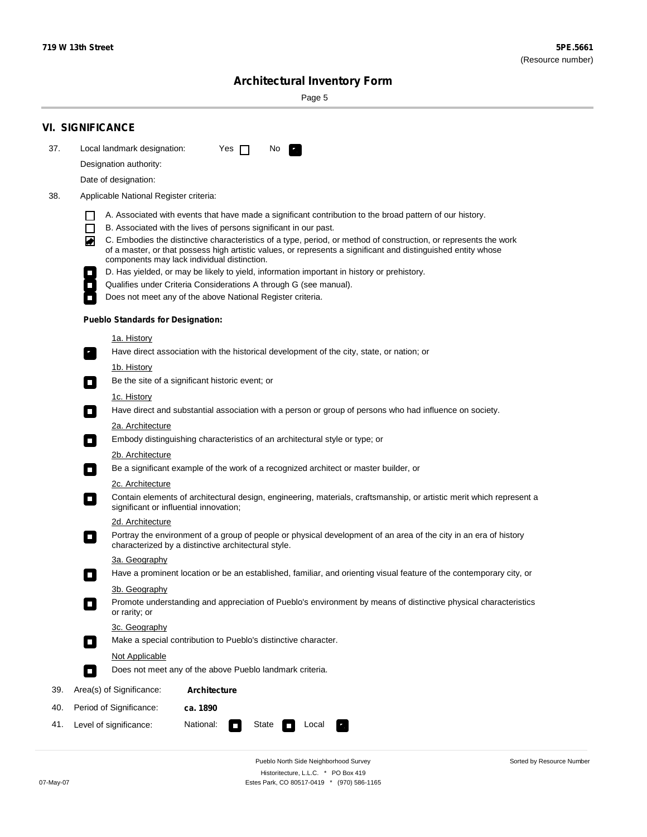÷

Sorted by Resource Number

# **Architectural Inventory Form**

Page 5

|     | <b>VI. SIGNIFICANCE</b>                                                                                                                                                                                                                                                                                                                                                                                                                                                                                                                                                                                                                                                                                                |  |  |  |  |  |  |
|-----|------------------------------------------------------------------------------------------------------------------------------------------------------------------------------------------------------------------------------------------------------------------------------------------------------------------------------------------------------------------------------------------------------------------------------------------------------------------------------------------------------------------------------------------------------------------------------------------------------------------------------------------------------------------------------------------------------------------------|--|--|--|--|--|--|
| 37. | Local landmark designation:<br>Yes $\Box$<br>No.                                                                                                                                                                                                                                                                                                                                                                                                                                                                                                                                                                                                                                                                       |  |  |  |  |  |  |
|     | Designation authority:                                                                                                                                                                                                                                                                                                                                                                                                                                                                                                                                                                                                                                                                                                 |  |  |  |  |  |  |
|     | Date of designation:                                                                                                                                                                                                                                                                                                                                                                                                                                                                                                                                                                                                                                                                                                   |  |  |  |  |  |  |
| 38. | Applicable National Register criteria:                                                                                                                                                                                                                                                                                                                                                                                                                                                                                                                                                                                                                                                                                 |  |  |  |  |  |  |
|     | A. Associated with events that have made a significant contribution to the broad pattern of our history.<br>l.<br>B. Associated with the lives of persons significant in our past.<br>$\Box$<br>C. Embodies the distinctive characteristics of a type, period, or method of construction, or represents the work<br>◙<br>of a master, or that possess high artistic values, or represents a significant and distinguished entity whose<br>components may lack individual distinction.<br>D. Has yielded, or may be likely to yield, information important in history or prehistory.<br>Qualifies under Criteria Considerations A through G (see manual).<br>Does not meet any of the above National Register criteria. |  |  |  |  |  |  |
|     | <b>Pueblo Standards for Designation:</b>                                                                                                                                                                                                                                                                                                                                                                                                                                                                                                                                                                                                                                                                               |  |  |  |  |  |  |
|     | 1a. History<br>Have direct association with the historical development of the city, state, or nation; or                                                                                                                                                                                                                                                                                                                                                                                                                                                                                                                                                                                                               |  |  |  |  |  |  |
|     | <u>1b. History</u><br>Be the site of a significant historic event; or<br>$\mathcal{L}_{\mathcal{A}}$                                                                                                                                                                                                                                                                                                                                                                                                                                                                                                                                                                                                                   |  |  |  |  |  |  |
|     | 1c. History<br>Have direct and substantial association with a person or group of persons who had influence on society.<br>$\blacksquare$                                                                                                                                                                                                                                                                                                                                                                                                                                                                                                                                                                               |  |  |  |  |  |  |
|     | 2a. Architecture<br>Embody distinguishing characteristics of an architectural style or type; or<br>$\overline{\phantom{a}}$                                                                                                                                                                                                                                                                                                                                                                                                                                                                                                                                                                                            |  |  |  |  |  |  |
|     | 2b. Architecture                                                                                                                                                                                                                                                                                                                                                                                                                                                                                                                                                                                                                                                                                                       |  |  |  |  |  |  |
|     | Be a significant example of the work of a recognized architect or master builder, or<br>$\sim$                                                                                                                                                                                                                                                                                                                                                                                                                                                                                                                                                                                                                         |  |  |  |  |  |  |
|     | 2c. Architecture<br>Contain elements of architectural design, engineering, materials, craftsmanship, or artistic merit which represent a<br>О<br>significant or influential innovation;                                                                                                                                                                                                                                                                                                                                                                                                                                                                                                                                |  |  |  |  |  |  |
|     | 2d. Architecture                                                                                                                                                                                                                                                                                                                                                                                                                                                                                                                                                                                                                                                                                                       |  |  |  |  |  |  |
|     | Portray the environment of a group of people or physical development of an area of the city in an era of history<br>$\Box$<br>characterized by a distinctive architectural style.                                                                                                                                                                                                                                                                                                                                                                                                                                                                                                                                      |  |  |  |  |  |  |
|     | 3a. Geography                                                                                                                                                                                                                                                                                                                                                                                                                                                                                                                                                                                                                                                                                                          |  |  |  |  |  |  |
|     | Have a prominent location or be an established, familiar, and orienting visual feature of the contemporary city, or                                                                                                                                                                                                                                                                                                                                                                                                                                                                                                                                                                                                    |  |  |  |  |  |  |
|     | 3b. Geography<br>Promote understanding and appreciation of Pueblo's environment by means of distinctive physical characteristics<br>or rarity; or                                                                                                                                                                                                                                                                                                                                                                                                                                                                                                                                                                      |  |  |  |  |  |  |
|     | 3c. Geography<br>Make a special contribution to Pueblo's distinctive character.<br>$\sim$                                                                                                                                                                                                                                                                                                                                                                                                                                                                                                                                                                                                                              |  |  |  |  |  |  |
|     | Not Applicable                                                                                                                                                                                                                                                                                                                                                                                                                                                                                                                                                                                                                                                                                                         |  |  |  |  |  |  |
|     | Does not meet any of the above Pueblo landmark criteria.<br>$\overline{\phantom{a}}$                                                                                                                                                                                                                                                                                                                                                                                                                                                                                                                                                                                                                                   |  |  |  |  |  |  |
| 39. | Area(s) of Significance:<br><b>Architecture</b>                                                                                                                                                                                                                                                                                                                                                                                                                                                                                                                                                                                                                                                                        |  |  |  |  |  |  |
| 40. | Period of Significance:<br>ca. 1890                                                                                                                                                                                                                                                                                                                                                                                                                                                                                                                                                                                                                                                                                    |  |  |  |  |  |  |
| 41. | National:<br>Level of significance:<br>State<br>Local<br>П<br>м.                                                                                                                                                                                                                                                                                                                                                                                                                                                                                                                                                                                                                                                       |  |  |  |  |  |  |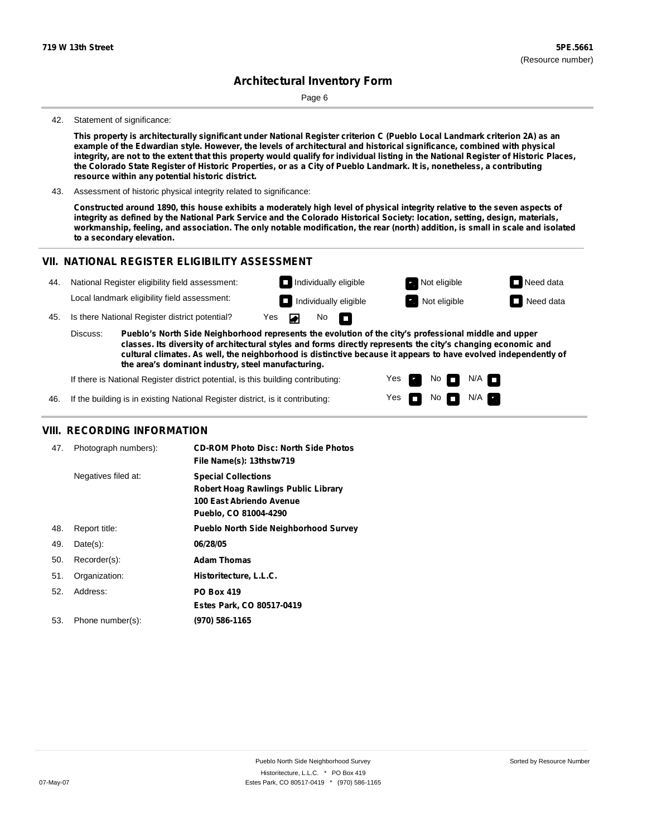Page 6

#### 42. Statement of significance:

This property is architecturally significant under National Register criterion C (Pueblo Local Landmark criterion 2A) as an example of the Edwardian style. However, the levels of architectural and historical significance, combined with physical integrity, are not to the extent that this property would qualify for individual listing in the National Register of Historic Places, the Colorado State Register of Historic Properties, or as a City of Pueblo Landmark. It is, nonetheless, a contributing **resource within any potential historic district.**

43. Assessment of historic physical integrity related to significance:

Constructed around 1890, this house exhibits a moderately high level of physical integrity relative to the seven aspects of integrity as defined by the National Park Service and the Colorado Historical Society: location, setting, design, materials, workmanship, feeling, and association. The only notable modification, the rear (north) addition, is small in scale and isolated **to a secondary elevation.**

#### **VII. NATIONAL REGISTER ELIGIBILITY ASSESSMENT**

44. National Register eligibility field assessment: Local landmark eligibility field assessment:



No

П

◚

 $N/A$ 

45. Is there National Register district potential? Yes

**Pueblo's North Side Neighborhood represents the evolution of the city's professional middle and upper classes. Its diversity of architectural styles and forms directly represents the city's changing economic and cultural climates. As well, the neighborhood is distinctive because it appears to have evolved independently of the area's dominant industry, steel manufacturing.** Discuss:

> Yes Yes

No

No  $\blacksquare$  N/A

If there is National Register district potential, is this building contributing:

If the building is in existing National Register district, is it contributing: 46.

#### **VIII. RECORDING INFORMATION**

| 47. | Photograph numbers): | <b>CD-ROM Photo Disc: North Side Photos</b><br>File Name(s): 13thstw719                                                       |
|-----|----------------------|-------------------------------------------------------------------------------------------------------------------------------|
|     | Negatives filed at:  | <b>Special Collections</b><br><b>Robert Hoag Rawlings Public Library</b><br>100 East Abriendo Avenue<br>Pueblo, CO 81004-4290 |
| 48. | Report title:        | <b>Pueblo North Side Neighborhood Survey</b>                                                                                  |
| 49. | $Date(s)$ :          | 06/28/05                                                                                                                      |
| 50. | Recorder(s):         | <b>Adam Thomas</b>                                                                                                            |
| 51. | Organization:        | Historitecture, L.L.C.                                                                                                        |
| 52. | Address:             | <b>PO Box 419</b>                                                                                                             |
|     |                      | Estes Park, CO 80517-0419                                                                                                     |
| 53. | Phone number(s):     | (970) 586-1165                                                                                                                |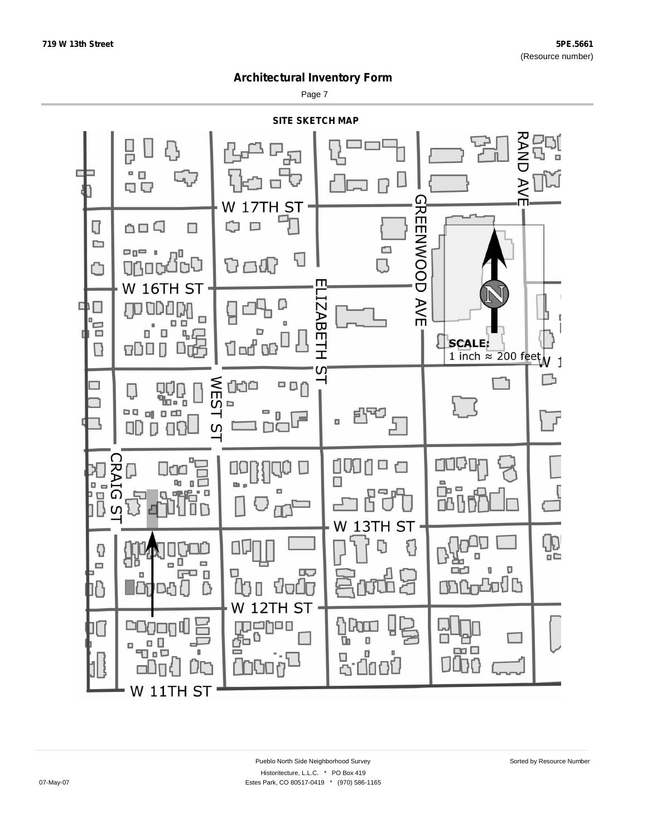Page 7